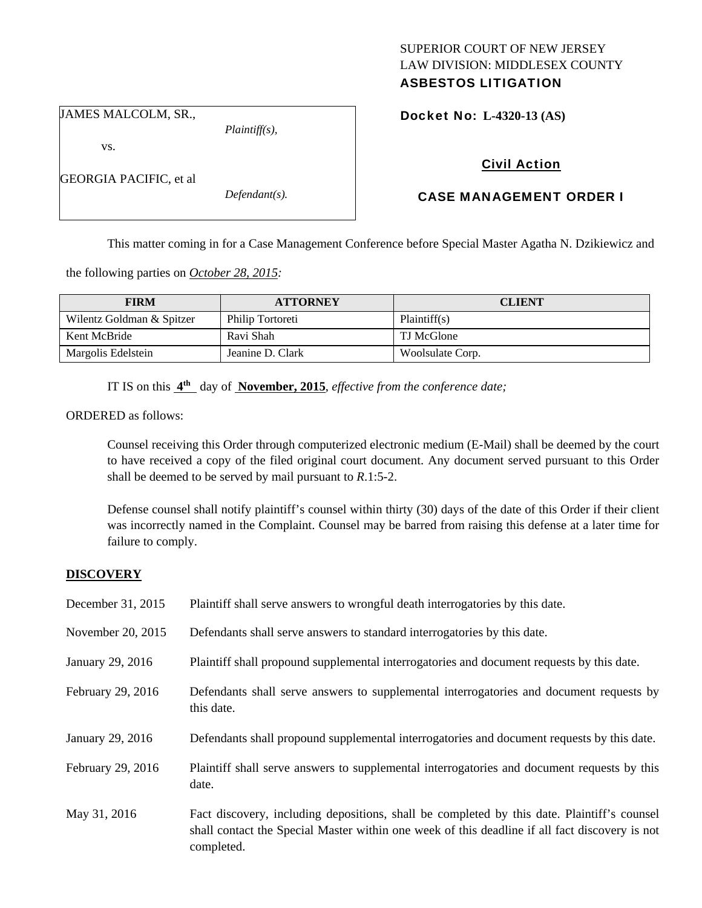# SUPERIOR COURT OF NEW JERSEY LAW DIVISION: MIDDLESEX COUNTY

# ASBESTOS LITIGATION

Docket No: **L-4320-13 (AS)** 

JAMES MALCOLM, SR.,

GEORGIA PACIFIC, et al

vs.

*Plaintiff(s),* 

*Defendant(s).* 

Civil Action

# CASE MANAGEMENT ORDER I

This matter coming in for a Case Management Conference before Special Master Agatha N. Dzikiewicz and

the following parties on *October 28, 2015:* 

| <b>FIRM</b>               | <b>ATTORNEY</b>  | <b>CLIENT</b>    |
|---------------------------|------------------|------------------|
| Wilentz Goldman & Spitzer | Philip Tortoreti | Plaintiff(s)     |
| Kent McBride              | Ravi Shah        | TJ McGlone       |
| Margolis Edelstein        | Jeanine D. Clark | Woolsulate Corp. |

IT IS on this **4th** day of **November, 2015**, *effective from the conference date;*

ORDERED as follows:

Counsel receiving this Order through computerized electronic medium (E-Mail) shall be deemed by the court to have received a copy of the filed original court document. Any document served pursuant to this Order shall be deemed to be served by mail pursuant to *R*.1:5-2.

Defense counsel shall notify plaintiff's counsel within thirty (30) days of the date of this Order if their client was incorrectly named in the Complaint. Counsel may be barred from raising this defense at a later time for failure to comply.

#### **DISCOVERY**

| December 31, 2015 | Plaintiff shall serve answers to wrongful death interrogatories by this date.                                                                                                                               |
|-------------------|-------------------------------------------------------------------------------------------------------------------------------------------------------------------------------------------------------------|
| November 20, 2015 | Defendants shall serve answers to standard interrogatories by this date.                                                                                                                                    |
| January 29, 2016  | Plaintiff shall propound supplemental interrogatories and document requests by this date.                                                                                                                   |
| February 29, 2016 | Defendants shall serve answers to supplemental interrogatories and document requests by<br>this date.                                                                                                       |
| January 29, 2016  | Defendants shall propound supplemental interrogatories and document requests by this date.                                                                                                                  |
| February 29, 2016 | Plaintiff shall serve answers to supplemental interrogatories and document requests by this<br>date.                                                                                                        |
| May 31, 2016      | Fact discovery, including depositions, shall be completed by this date. Plaintiff's counsel<br>shall contact the Special Master within one week of this deadline if all fact discovery is not<br>completed. |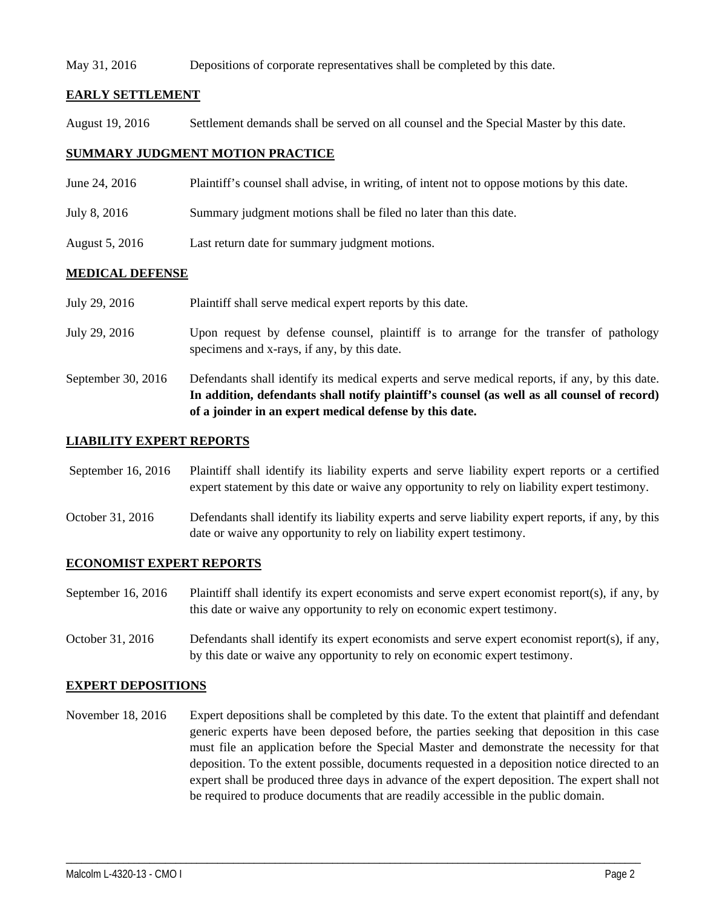#### May 31, 2016 Depositions of corporate representatives shall be completed by this date.

# **EARLY SETTLEMENT**

August 19, 2016 Settlement demands shall be served on all counsel and the Special Master by this date.

# **SUMMARY JUDGMENT MOTION PRACTICE**

- June 24, 2016 Plaintiff's counsel shall advise, in writing, of intent not to oppose motions by this date.
- July 8, 2016 Summary judgment motions shall be filed no later than this date.
- August 5, 2016 Last return date for summary judgment motions.

# **MEDICAL DEFENSE**

|                    | In addition, defendants shall notify plaintiff's counsel (as well as all counsel of record)<br>of a joinder in an expert medical defense by this date. |
|--------------------|--------------------------------------------------------------------------------------------------------------------------------------------------------|
| September 30, 2016 | Defendants shall identify its medical experts and serve medical reports, if any, by this date.                                                         |
| July 29, 2016      | Upon request by defense counsel, plaintiff is to arrange for the transfer of pathology<br>specimens and x-rays, if any, by this date.                  |
| July 29, 2016      | Plaintiff shall serve medical expert reports by this date.                                                                                             |

# **LIABILITY EXPERT REPORTS**

 September 16, 2016 Plaintiff shall identify its liability experts and serve liability expert reports or a certified expert statement by this date or waive any opportunity to rely on liability expert testimony.

October 31, 2016 Defendants shall identify its liability experts and serve liability expert reports, if any, by this date or waive any opportunity to rely on liability expert testimony.

#### **ECONOMIST EXPERT REPORTS**

September 16, 2016 Plaintiff shall identify its expert economists and serve expert economist report(s), if any, by this date or waive any opportunity to rely on economic expert testimony.

October 31, 2016 Defendants shall identify its expert economists and serve expert economist report(s), if any, by this date or waive any opportunity to rely on economic expert testimony.

#### **EXPERT DEPOSITIONS**

November 18, 2016 Expert depositions shall be completed by this date. To the extent that plaintiff and defendant generic experts have been deposed before, the parties seeking that deposition in this case must file an application before the Special Master and demonstrate the necessity for that deposition. To the extent possible, documents requested in a deposition notice directed to an expert shall be produced three days in advance of the expert deposition. The expert shall not be required to produce documents that are readily accessible in the public domain.

\_\_\_\_\_\_\_\_\_\_\_\_\_\_\_\_\_\_\_\_\_\_\_\_\_\_\_\_\_\_\_\_\_\_\_\_\_\_\_\_\_\_\_\_\_\_\_\_\_\_\_\_\_\_\_\_\_\_\_\_\_\_\_\_\_\_\_\_\_\_\_\_\_\_\_\_\_\_\_\_\_\_\_\_\_\_\_\_\_\_\_\_\_\_\_\_\_\_\_\_\_\_\_\_\_\_\_\_\_\_